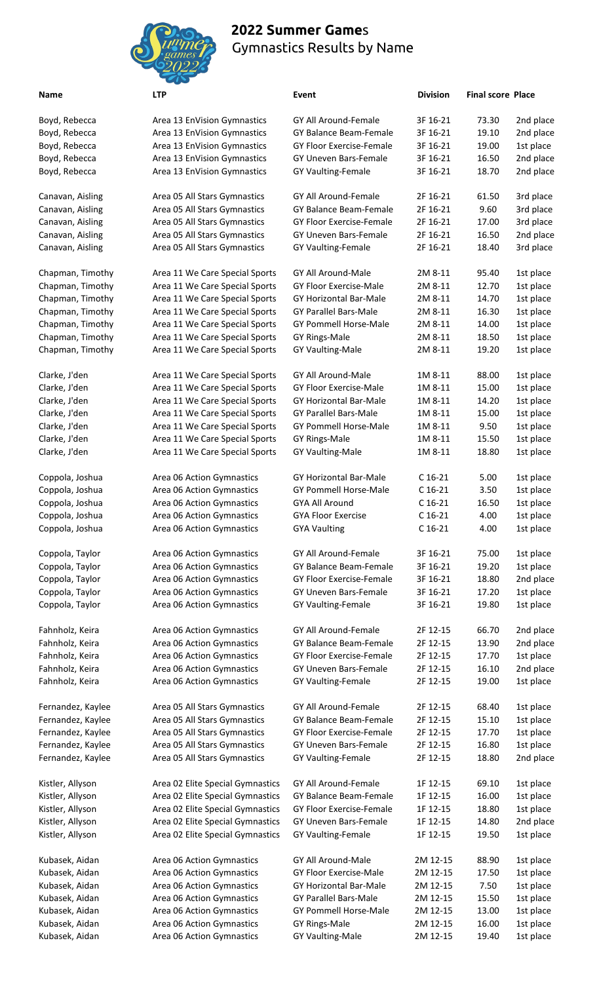

## **2022 Summer Game**s Gymnastics Results by Name

Kubasek, Aidan area Are

| Name              | <b>LTP</b>                       | Event                           | <b>Division</b> | <b>Final score Place</b> |           |
|-------------------|----------------------------------|---------------------------------|-----------------|--------------------------|-----------|
| Boyd, Rebecca     | Area 13 EnVision Gymnastics      | GY All Around-Female            | 3F 16-21        | 73.30                    | 2nd place |
| Boyd, Rebecca     | Area 13 EnVision Gymnastics      | <b>GY Balance Beam-Female</b>   | 3F 16-21        | 19.10                    | 2nd place |
| Boyd, Rebecca     | Area 13 EnVision Gymnastics      | <b>GY Floor Exercise-Female</b> | 3F 16-21        | 19.00                    | 1st place |
| Boyd, Rebecca     | Area 13 EnVision Gymnastics      | <b>GY Uneven Bars-Female</b>    | 3F 16-21        | 16.50                    | 2nd place |
| Boyd, Rebecca     | Area 13 EnVision Gymnastics      | GY Vaulting-Female              | 3F 16-21        | 18.70                    | 2nd place |
| Canavan, Aisling  | Area 05 All Stars Gymnastics     | <b>GY All Around-Female</b>     | 2F 16-21        | 61.50                    | 3rd place |
| Canavan, Aisling  | Area 05 All Stars Gymnastics     | <b>GY Balance Beam-Female</b>   | 2F 16-21        | 9.60                     | 3rd place |
| Canavan, Aisling  | Area 05 All Stars Gymnastics     | <b>GY Floor Exercise-Female</b> | 2F 16-21        | 17.00                    | 3rd place |
| Canavan, Aisling  | Area 05 All Stars Gymnastics     | GY Uneven Bars-Female           | 2F 16-21        | 16.50                    | 2nd place |
| Canavan, Aisling  | Area 05 All Stars Gymnastics     | GY Vaulting-Female              | 2F 16-21        | 18.40                    | 3rd place |
| Chapman, Timothy  | Area 11 We Care Special Sports   | GY All Around-Male              | 2M 8-11         | 95.40                    | 1st place |
| Chapman, Timothy  | Area 11 We Care Special Sports   | GY Floor Exercise-Male          | 2M 8-11         | 12.70                    | 1st place |
| Chapman, Timothy  | Area 11 We Care Special Sports   | GY Horizontal Bar-Male          | 2M 8-11         | 14.70                    | 1st place |
| Chapman, Timothy  | Area 11 We Care Special Sports   | <b>GY Parallel Bars-Male</b>    | 2M 8-11         | 16.30                    | 1st place |
| Chapman, Timothy  | Area 11 We Care Special Sports   | GY Pommell Horse-Male           | 2M 8-11         | 14.00                    | 1st place |
| Chapman, Timothy  | Area 11 We Care Special Sports   | <b>GY Rings-Male</b>            | 2M 8-11         | 18.50                    | 1st place |
| Chapman, Timothy  | Area 11 We Care Special Sports   | <b>GY Vaulting-Male</b>         | 2M 8-11         | 19.20                    | 1st place |
| Clarke, J'den     | Area 11 We Care Special Sports   | GY All Around-Male              | 1M 8-11         | 88.00                    | 1st place |
| Clarke, J'den     | Area 11 We Care Special Sports   | <b>GY Floor Exercise-Male</b>   | 1M 8-11         | 15.00                    | 1st place |
| Clarke, J'den     | Area 11 We Care Special Sports   | GY Horizontal Bar-Male          | 1M 8-11         | 14.20                    | 1st place |
| Clarke, J'den     | Area 11 We Care Special Sports   | <b>GY Parallel Bars-Male</b>    | 1M 8-11         | 15.00                    | 1st place |
| Clarke, J'den     | Area 11 We Care Special Sports   | GY Pommell Horse-Male           | 1M 8-11         | 9.50                     | 1st place |
| Clarke, J'den     | Area 11 We Care Special Sports   | <b>GY Rings-Male</b>            | 1M 8-11         | 15.50                    | 1st place |
| Clarke, J'den     | Area 11 We Care Special Sports   | <b>GY Vaulting-Male</b>         | 1M 8-11         | 18.80                    | 1st place |
| Coppola, Joshua   | Area 06 Action Gymnastics        | GY Horizontal Bar-Male          | $C$ 16-21       | 5.00                     | 1st place |
| Coppola, Joshua   | Area 06 Action Gymnastics        | <b>GY Pommell Horse-Male</b>    | $C$ 16-21       | 3.50                     | 1st place |
| Coppola, Joshua   | Area 06 Action Gymnastics        | <b>GYA All Around</b>           | $C$ 16-21       | 16.50                    | 1st place |
| Coppola, Joshua   | Area 06 Action Gymnastics        | <b>GYA Floor Exercise</b>       | $C$ 16-21       | 4.00                     | 1st place |
| Coppola, Joshua   | Area 06 Action Gymnastics        | <b>GYA Vaulting</b>             | $C$ 16-21       | 4.00                     | 1st place |
| Coppola, Taylor   | Area 06 Action Gymnastics        | <b>GY All Around-Female</b>     | 3F 16-21        | 75.00                    | 1st place |
| Coppola, Taylor   | Area 06 Action Gymnastics        | <b>GY Balance Beam-Female</b>   | 3F 16-21        | 19.20                    | 1st place |
| Coppola, Taylor   | Area 06 Action Gymnastics        | GY Floor Exercise-Female        | 3F 16-21        | 18.80                    | 2nd place |
| Coppola, Taylor   | Area 06 Action Gymnastics        | GY Uneven Bars-Female           | 3F 16-21        | 17.20                    | 1st place |
| Coppola, Taylor   | Area 06 Action Gymnastics        | GY Vaulting-Female              | 3F 16-21        | 19.80                    | 1st place |
| Fahnholz, Keira   | Area 06 Action Gymnastics        | GY All Around-Female            | 2F 12-15        | 66.70                    | 2nd place |
| Fahnholz, Keira   | Area 06 Action Gymnastics        | GY Balance Beam-Female          | 2F 12-15        | 13.90                    | 2nd place |
| Fahnholz, Keira   | Area 06 Action Gymnastics        | GY Floor Exercise-Female        | 2F 12-15        | 17.70                    | 1st place |
| Fahnholz, Keira   | Area 06 Action Gymnastics        | GY Uneven Bars-Female           | 2F 12-15        | 16.10                    | 2nd place |
| Fahnholz, Keira   | Area 06 Action Gymnastics        | GY Vaulting-Female              | 2F 12-15        | 19.00                    | 1st place |
| Fernandez, Kaylee | Area 05 All Stars Gymnastics     | GY All Around-Female            | 2F 12-15        | 68.40                    | 1st place |
| Fernandez, Kaylee | Area 05 All Stars Gymnastics     | GY Balance Beam-Female          | 2F 12-15        | 15.10                    | 1st place |
| Fernandez, Kaylee | Area 05 All Stars Gymnastics     | <b>GY Floor Exercise-Female</b> | 2F 12-15        | 17.70                    | 1st place |
| Fernandez, Kaylee | Area 05 All Stars Gymnastics     | GY Uneven Bars-Female           | 2F 12-15        | 16.80                    | 1st place |
| Fernandez, Kaylee | Area 05 All Stars Gymnastics     | GY Vaulting-Female              | 2F 12-15        | 18.80                    | 2nd place |
| Kistler, Allyson  | Area 02 Elite Special Gymnastics | GY All Around-Female            | 1F 12-15        | 69.10                    | 1st place |
| Kistler, Allyson  | Area 02 Elite Special Gymnastics | GY Balance Beam-Female          | 1F 12-15        | 16.00                    | 1st place |
| Kistler, Allyson  | Area 02 Elite Special Gymnastics | GY Floor Exercise-Female        | 1F 12-15        | 18.80                    | 1st place |
| Kistler, Allyson  | Area 02 Elite Special Gymnastics | GY Uneven Bars-Female           | 1F 12-15        | 14.80                    | 2nd place |
| Kistler, Allyson  | Area 02 Elite Special Gymnastics | <b>GY Vaulting-Female</b>       | 1F 12-15        | 19.50                    | 1st place |
| Kubasek, Aidan    | Area 06 Action Gymnastics        | GY All Around-Male              | 2M 12-15        | 88.90                    | 1st place |

Kubasek, Aidan **Area 06 Action Gymnastics** GY Floor Exercise-Male 2M 12-15 17.50 1st place Kubasek, Aidan **Area 06 Action Gymnastics** GY Horizontal Bar-Male 2M 12-15 7.50 1st place Kubasek, Aidan **Area 06 Action Gymnastics** GY Parallel Bars-Male 2M 12-15 15.50 1st place Kubasek, Aidan **Area 06 Action Gymnastics** GY Pommell Horse-Male 2M 12-15 13.00 1st place Kubasek, Aidan Area 06 Action Gymnastics GY Rings-Male 2M 12-15 16.00 1st place Kubasek, Aidan Area 06 Action Gymnastics GY Vaulting-Male 2M 12-15 19.40 1st place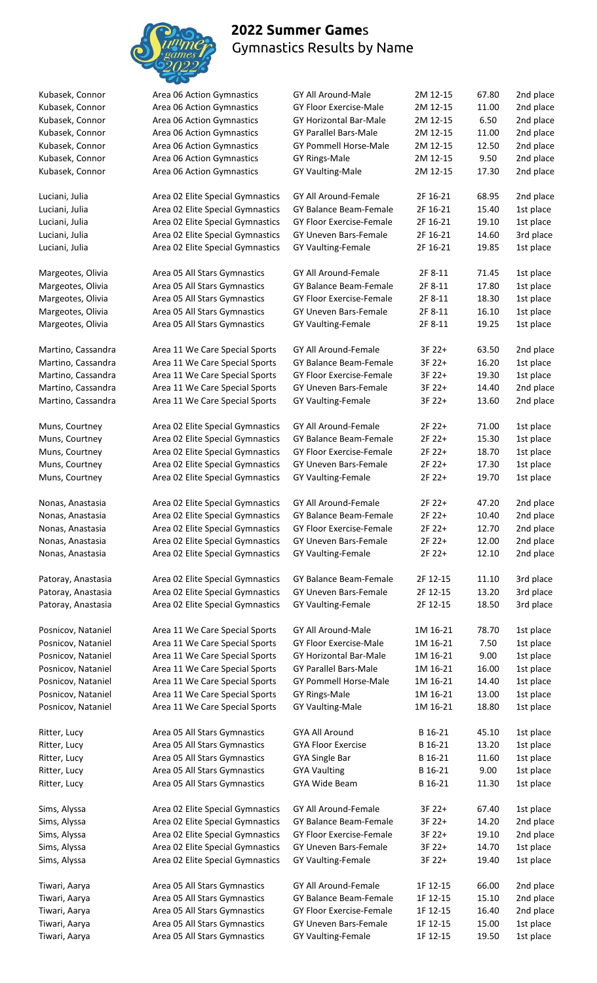

## **2022 Summer Game**s Gymnastics Results by Name

| Kubasek, Connor    | Area 06 Action Gymnastics        | GY All Around-Male            | 2M 12-15 | 67.80 | 2nd place |
|--------------------|----------------------------------|-------------------------------|----------|-------|-----------|
| Kubasek, Connor    | Area 06 Action Gymnastics        | GY Floor Exercise-Male        | 2M 12-15 | 11.00 | 2nd place |
| Kubasek, Connor    | Area 06 Action Gymnastics        | GY Horizontal Bar-Male        | 2M 12-15 | 6.50  | 2nd place |
| Kubasek, Connor    | Area 06 Action Gymnastics        | <b>GY Parallel Bars-Male</b>  | 2M 12-15 | 11.00 | 2nd place |
| Kubasek, Connor    | Area 06 Action Gymnastics        | <b>GY Pommell Horse-Male</b>  | 2M 12-15 | 12.50 | 2nd place |
| Kubasek, Connor    | Area 06 Action Gymnastics        | <b>GY Rings-Male</b>          | 2M 12-15 | 9.50  | 2nd place |
| Kubasek, Connor    | Area 06 Action Gymnastics        | GY Vaulting-Male              | 2M 12-15 | 17.30 | 2nd place |
| Luciani, Julia     | Area 02 Elite Special Gymnastics | <b>GY All Around-Female</b>   | 2F 16-21 | 68.95 | 2nd place |
| Luciani, Julia     | Area 02 Elite Special Gymnastics | GY Balance Beam-Female        | 2F 16-21 | 15.40 | 1st place |
| Luciani, Julia     | Area 02 Elite Special Gymnastics | GY Floor Exercise-Female      | 2F 16-21 | 19.10 | 1st place |
| Luciani, Julia     | Area 02 Elite Special Gymnastics | GY Uneven Bars-Female         | 2F 16-21 | 14.60 | 3rd place |
| Luciani, Julia     | Area 02 Elite Special Gymnastics | GY Vaulting-Female            | 2F 16-21 | 19.85 | 1st place |
| Margeotes, Olivia  | Area 05 All Stars Gymnastics     | GY All Around-Female          | 2F 8-11  | 71.45 | 1st place |
| Margeotes, Olivia  | Area 05 All Stars Gymnastics     | <b>GY Balance Beam-Female</b> | 2F 8-11  | 17.80 | 1st place |
|                    |                                  |                               |          |       |           |
| Margeotes, Olivia  | Area 05 All Stars Gymnastics     | GY Floor Exercise-Female      | 2F 8-11  | 18.30 | 1st place |
| Margeotes, Olivia  | Area 05 All Stars Gymnastics     | GY Uneven Bars-Female         | 2F 8-11  | 16.10 | 1st place |
| Margeotes, Olivia  | Area 05 All Stars Gymnastics     | GY Vaulting-Female            | 2F 8-11  | 19.25 | 1st place |
| Martino, Cassandra | Area 11 We Care Special Sports   | GY All Around-Female          | 3F 22+   | 63.50 | 2nd place |
| Martino, Cassandra | Area 11 We Care Special Sports   | GY Balance Beam-Female        | 3F 22+   | 16.20 | 1st place |
| Martino, Cassandra | Area 11 We Care Special Sports   | GY Floor Exercise-Female      | 3F 22+   | 19.30 | 1st place |
| Martino, Cassandra | Area 11 We Care Special Sports   | GY Uneven Bars-Female         | 3F 22+   | 14.40 | 2nd place |
| Martino, Cassandra | Area 11 We Care Special Sports   | GY Vaulting-Female            | 3F 22+   | 13.60 | 2nd place |
| Muns, Courtney     | Area 02 Elite Special Gymnastics | GY All Around-Female          | 2F 22+   | 71.00 | 1st place |
| Muns, Courtney     | Area 02 Elite Special Gymnastics | GY Balance Beam-Female        | 2F 22+   | 15.30 | 1st place |
| Muns, Courtney     | Area 02 Elite Special Gymnastics | GY Floor Exercise-Female      | 2F 22+   | 18.70 | 1st place |
| Muns, Courtney     | Area 02 Elite Special Gymnastics | GY Uneven Bars-Female         | 2F 22+   | 17.30 | 1st place |
| Muns, Courtney     | Area 02 Elite Special Gymnastics | GY Vaulting-Female            | 2F 22+   | 19.70 | 1st place |
| Nonas, Anastasia   | Area 02 Elite Special Gymnastics | GY All Around-Female          | 2F 22+   | 47.20 | 2nd place |
| Nonas, Anastasia   | Area 02 Elite Special Gymnastics | GY Balance Beam-Female        | 2F 22+   | 10.40 | 2nd place |
| Nonas, Anastasia   | Area 02 Elite Special Gymnastics | GY Floor Exercise-Female      | 2F 22+   | 12.70 | 2nd place |
| Nonas, Anastasia   | Area 02 Elite Special Gymnastics | GY Uneven Bars-Female         | 2F 22+   | 12.00 | 2nd place |
| Nonas, Anastasia   | Area 02 Elite Special Gymnastics | GY Vaulting-Female            | 2F 22+   | 12.10 | 2nd place |
|                    |                                  |                               |          |       |           |
| Patoray, Anastasia | Area 02 Elite Special Gymnastics | GY Balance Beam-Female        | 2F 12-15 | 11.10 | 3rd place |
| Patoray, Anastasia | Area 02 Elite Special Gymnastics | GY Uneven Bars-Female         | 2F 12-15 | 13.20 | 3rd place |
| Patoray, Anastasia | Area 02 Elite Special Gymnastics | GY Vaulting-Female            | 2F 12-15 | 18.50 | 3rd place |
| Posnicov, Nataniel | Area 11 We Care Special Sports   | GY All Around-Male            | 1M 16-21 | 78.70 | 1st place |
| Posnicov, Nataniel | Area 11 We Care Special Sports   | GY Floor Exercise-Male        | 1M 16-21 | 7.50  | 1st place |
| Posnicov, Nataniel | Area 11 We Care Special Sports   | GY Horizontal Bar-Male        | 1M 16-21 | 9.00  | 1st place |
| Posnicov, Nataniel | Area 11 We Care Special Sports   | GY Parallel Bars-Male         | 1M 16-21 | 16.00 | 1st place |
| Posnicov, Nataniel | Area 11 We Care Special Sports   | GY Pommell Horse-Male         | 1M 16-21 | 14.40 | 1st place |
| Posnicov, Nataniel | Area 11 We Care Special Sports   | GY Rings-Male                 | 1M 16-21 | 13.00 | 1st place |
| Posnicov, Nataniel | Area 11 We Care Special Sports   | <b>GY Vaulting-Male</b>       | 1M 16-21 | 18.80 | 1st place |
| Ritter, Lucy       | Area 05 All Stars Gymnastics     | <b>GYA All Around</b>         | B 16-21  | 45.10 | 1st place |
| Ritter, Lucy       | Area 05 All Stars Gymnastics     | <b>GYA Floor Exercise</b>     | B 16-21  | 13.20 | 1st place |
| Ritter, Lucy       | Area 05 All Stars Gymnastics     | <b>GYA Single Bar</b>         | B 16-21  | 11.60 | 1st place |
| Ritter, Lucy       | Area 05 All Stars Gymnastics     | <b>GYA Vaulting</b>           | B 16-21  | 9.00  | 1st place |
| Ritter, Lucy       | Area 05 All Stars Gymnastics     | GYA Wide Beam                 | B 16-21  | 11.30 | 1st place |
| Sims, Alyssa       | Area 02 Elite Special Gymnastics | GY All Around-Female          | 3F 22+   | 67.40 | 1st place |
| Sims, Alyssa       | Area 02 Elite Special Gymnastics | GY Balance Beam-Female        | 3F 22+   | 14.20 | 2nd place |
| Sims, Alyssa       | Area 02 Elite Special Gymnastics | GY Floor Exercise-Female      | 3F 22+   | 19.10 | 2nd place |
| Sims, Alyssa       | Area 02 Elite Special Gymnastics | GY Uneven Bars-Female         | 3F 22+   | 14.70 | 1st place |
| Sims, Alyssa       | Area 02 Elite Special Gymnastics | GY Vaulting-Female            | 3F 22+   | 19.40 | 1st place |
|                    |                                  |                               |          |       |           |
| Tiwari, Aarya      | Area 05 All Stars Gymnastics     | GY All Around-Female          | 1F 12-15 | 66.00 | 2nd place |
| Tiwari, Aarya      | Area 05 All Stars Gymnastics     | GY Balance Beam-Female        | 1F 12-15 | 15.10 | 2nd place |

Tiwari, Aarya **Area 05 All Stars Gymnastics** GY Floor Exercise-Female 1F 12-15 16.40 2nd place Tiwari, Aarya **Area 05 All Stars Gymnastics** GY Uneven Bars-Female 1F 12-15 15.00 1st place Tiwari, Aarya **Area 05 All Stars Gymnastics** GY Vaulting-Female 1F 12-15 19.50 1st place